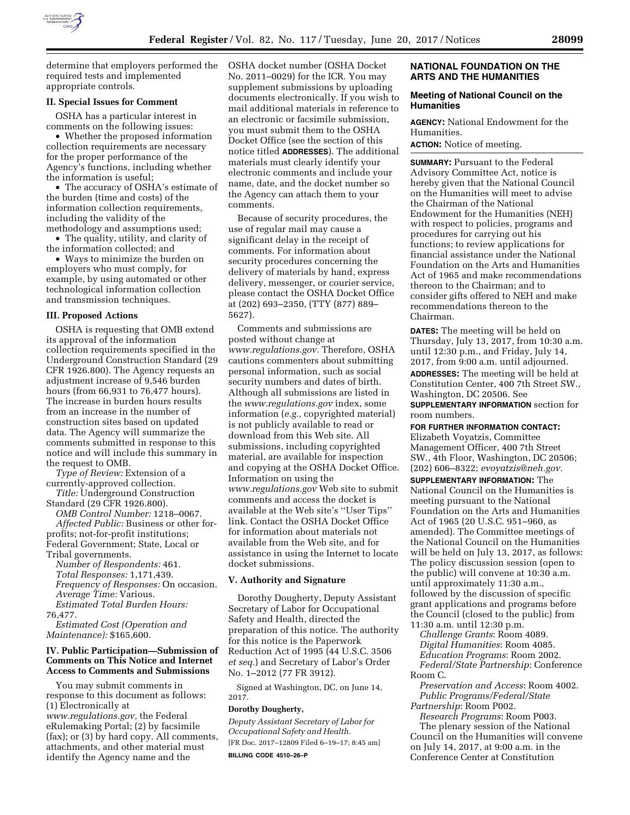

determine that employers performed the required tests and implemented appropriate controls.

#### **II. Special Issues for Comment**

OSHA has a particular interest in comments on the following issues:

• Whether the proposed information collection requirements are necessary for the proper performance of the Agency's functions, including whether the information is useful;

• The accuracy of OSHA's estimate of the burden (time and costs) of the information collection requirements, including the validity of the methodology and assumptions used;

• The quality, utility, and clarity of the information collected; and

• Ways to minimize the burden on employers who must comply, for example, by using automated or other technological information collection and transmission techniques.

#### **III. Proposed Actions**

OSHA is requesting that OMB extend its approval of the information collection requirements specified in the Underground Construction Standard (29 CFR 1926.800). The Agency requests an adjustment increase of 9,546 burden hours (from 66,931 to 76,477 hours). The increase in burden hours results from an increase in the number of construction sites based on updated data. The Agency will summarize the comments submitted in response to this notice and will include this summary in the request to OMB.

*Type of Review:* Extension of a currently-approved collection. *Title:* Underground Construction

Standard (29 CFR 1926.800). *OMB Control Number:* 1218–0067.

*Affected Public:* Business or other forprofits; not-for-profit institutions; Federal Government; State, Local or Tribal governments.

*Number of Respondents:* 461. *Total Responses:* 1,171,439. *Frequency of Responses:* On occasion. *Average Time:* Various. *Estimated Total Burden Hours:*  76,477.

*Estimated Cost (Operation and Maintenance):* \$165,600.

#### **IV. Public Participation—Submission of Comments on This Notice and Internet Access to Comments and Submissions**

You may submit comments in response to this document as follows: (1) Electronically at *[www.regulations.gov,](http://www.regulations.gov)* the Federal eRulemaking Portal; (2) by facsimile (fax); or (3) by hard copy. All comments, attachments, and other material must identify the Agency name and the

OSHA docket number (OSHA Docket No. 2011–0029) for the ICR. You may supplement submissions by uploading documents electronically. If you wish to mail additional materials in reference to an electronic or facsimile submission, you must submit them to the OSHA Docket Office (see the section of this notice titled **ADDRESSES**). The additional materials must clearly identify your electronic comments and include your name, date, and the docket number so the Agency can attach them to your comments.

Because of security procedures, the use of regular mail may cause a significant delay in the receipt of comments. For information about security procedures concerning the delivery of materials by hand, express delivery, messenger, or courier service, please contact the OSHA Docket Office at (202) 693–2350, (TTY (877) 889– 5627).

Comments and submissions are posted without change at *[www.regulations.gov.](http://www.regulations.gov)* Therefore, OSHA cautions commenters about submitting personal information, such as social security numbers and dates of birth. Although all submissions are listed in the *[www.regulations.gov](http://www.regulations.gov)* index, some information (*e.g.,* copyrighted material) is not publicly available to read or download from this Web site. All submissions, including copyrighted material, are available for inspection and copying at the OSHA Docket Office. Information on using the *[www.regulations.gov](http://www.regulations.gov)* Web site to submit comments and access the docket is available at the Web site's ''User Tips'' link. Contact the OSHA Docket Office for information about materials not available from the Web site, and for assistance in using the Internet to locate docket submissions.

#### **V. Authority and Signature**

Dorothy Dougherty, Deputy Assistant Secretary of Labor for Occupational Safety and Health, directed the preparation of this notice. The authority for this notice is the Paperwork Reduction Act of 1995 (44 U.S.C. 3506 *et seq.*) and Secretary of Labor's Order No. 1–2012 (77 FR 3912).

Signed at Washington, DC, on June 14, 2017.

#### **Dorothy Dougherty,**

*Deputy Assistant Secretary of Labor for Occupational Safety and Health.*  [FR Doc. 2017–12809 Filed 6–19–17; 8:45 am]

**BILLING CODE 4510–26–P** 

#### **NATIONAL FOUNDATION ON THE ARTS AND THE HUMANITIES**

#### **Meeting of National Council on the Humanities**

**AGENCY:** National Endowment for the Humanities.

**ACTION:** Notice of meeting.

**SUMMARY: Pursuant to the Federal** Advisory Committee Act, notice is hereby given that the National Council on the Humanities will meet to advise the Chairman of the National Endowment for the Humanities (NEH) with respect to policies, programs and procedures for carrying out his functions; to review applications for financial assistance under the National Foundation on the Arts and Humanities Act of 1965 and make recommendations thereon to the Chairman; and to consider gifts offered to NEH and make recommendations thereon to the Chairman.

**DATES:** The meeting will be held on Thursday, July 13, 2017, from 10:30 a.m. until 12:30 p.m., and Friday, July 14, 2017, from 9:00 a.m. until adjourned. **ADDRESSES:** The meeting will be held at Constitution Center, 400 7th Street SW., Washington, DC 20506. See **SUPPLEMENTARY INFORMATION** section for

room numbers.

**FOR FURTHER INFORMATION CONTACT:**  Elizabeth Voyatzis, Committee Management Officer, 400 7th Street SW., 4th Floor, Washington, DC 20506; (202) 606–8322; *[evoyatzis@neh.gov.](mailto:evoyatzis@neh.gov)* 

**SUPPLEMENTARY INFORMATION:** The National Council on the Humanities is meeting pursuant to the National Foundation on the Arts and Humanities Act of 1965 (20 U.S.C. 951–960, as amended). The Committee meetings of the National Council on the Humanities will be held on July 13, 2017, as follows: The policy discussion session (open to the public) will convene at 10:30 a.m. until approximately 11:30 a.m., followed by the discussion of specific grant applications and programs before the Council (closed to the public) from 11:30 a.m. until 12:30 p.m.

*Challenge Grants*: Room 4089. *Digital Humanities*: Room 4085. *Education Programs*: Room 2002. *Federal/State Partnership*: Conference Room C.

*Preservation and Access*: Room 4002. *Public Programs/Federal/State* 

*Partnership*: Room P002. *Research Programs*: Room P003. The plenary session of the National Council on the Humanities will convene on July 14, 2017, at 9:00 a.m. in the Conference Center at Constitution